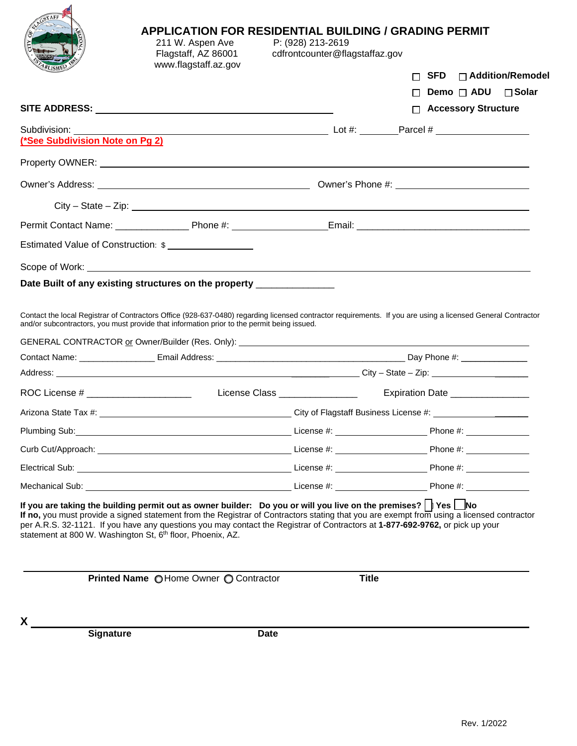|                                        | 211 W. Aspen Ave<br>Flagstaff, AZ 86001<br>www.flagstaff.az.gov                                                                                                                                                                                                                                                                                | P: (928) 213-2619<br>cdfrontcounter@flagstaffaz.gov |                                                                                                                                                                                                                                |
|----------------------------------------|------------------------------------------------------------------------------------------------------------------------------------------------------------------------------------------------------------------------------------------------------------------------------------------------------------------------------------------------|-----------------------------------------------------|--------------------------------------------------------------------------------------------------------------------------------------------------------------------------------------------------------------------------------|
|                                        |                                                                                                                                                                                                                                                                                                                                                |                                                     | $SFD$ $\Box$ Addition/Remodel                                                                                                                                                                                                  |
|                                        |                                                                                                                                                                                                                                                                                                                                                |                                                     | Demo □ ADU<br>⊟ Solar                                                                                                                                                                                                          |
|                                        | SITE ADDRESS: University of the state of the state of the state of the state of the state of the state of the                                                                                                                                                                                                                                  |                                                     | □ Accessory Structure                                                                                                                                                                                                          |
| (*See Subdivision Note on Pg 2)        |                                                                                                                                                                                                                                                                                                                                                |                                                     |                                                                                                                                                                                                                                |
|                                        |                                                                                                                                                                                                                                                                                                                                                |                                                     |                                                                                                                                                                                                                                |
|                                        |                                                                                                                                                                                                                                                                                                                                                |                                                     |                                                                                                                                                                                                                                |
|                                        | $City - State - Zip:$                                                                                                                                                                                                                                                                                                                          |                                                     |                                                                                                                                                                                                                                |
|                                        |                                                                                                                                                                                                                                                                                                                                                |                                                     |                                                                                                                                                                                                                                |
|                                        | Estimated Value of Construction: \$                                                                                                                                                                                                                                                                                                            |                                                     |                                                                                                                                                                                                                                |
|                                        |                                                                                                                                                                                                                                                                                                                                                |                                                     |                                                                                                                                                                                                                                |
|                                        | Date Built of any existing structures on the property ______________                                                                                                                                                                                                                                                                           |                                                     |                                                                                                                                                                                                                                |
|                                        |                                                                                                                                                                                                                                                                                                                                                |                                                     |                                                                                                                                                                                                                                |
|                                        |                                                                                                                                                                                                                                                                                                                                                |                                                     |                                                                                                                                                                                                                                |
|                                        | and/or subcontractors, you must provide that information prior to the permit being issued.                                                                                                                                                                                                                                                     |                                                     | Contact the local Registrar of Contractors Office (928-637-0480) regarding licensed contractor requirements. If you are using a licensed General Contractor                                                                    |
|                                        |                                                                                                                                                                                                                                                                                                                                                |                                                     | GENERAL CONTRACTOR or Owner/Builder (Res. Only): \\ownergin \\\ownergin \\\ownergin \\ownergin \\ownergin \\owner/Builder (Res. Only): \\ownergin \\ownergin \\ownergin \\ownergin \\ownergin \\ownergin \\ownergin \\ownergin |
|                                        |                                                                                                                                                                                                                                                                                                                                                |                                                     |                                                                                                                                                                                                                                |
|                                        |                                                                                                                                                                                                                                                                                                                                                |                                                     |                                                                                                                                                                                                                                |
| ROC License # ________________________ |                                                                                                                                                                                                                                                                                                                                                | License Class _________________                     | Expiration Date ________________                                                                                                                                                                                               |
|                                        |                                                                                                                                                                                                                                                                                                                                                |                                                     |                                                                                                                                                                                                                                |
| Plumbing Sub:                          |                                                                                                                                                                                                                                                                                                                                                |                                                     |                                                                                                                                                                                                                                |
|                                        |                                                                                                                                                                                                                                                                                                                                                |                                                     |                                                                                                                                                                                                                                |
|                                        |                                                                                                                                                                                                                                                                                                                                                |                                                     |                                                                                                                                                                                                                                |
|                                        |                                                                                                                                                                                                                                                                                                                                                |                                                     |                                                                                                                                                                                                                                |
|                                        | If you are taking the building permit out as owner builder: Do you or will you live on the premises? $\parallel$ Yes $\parallel$ No<br>per A.R.S. 32-1121. If you have any questions you may contact the Registrar of Contractors at 1-877-692-9762, or pick up your<br>statement at 800 W. Washington St, 6 <sup>th</sup> floor, Phoenix, AZ. |                                                     | If no, you must provide a signed statement from the Registrar of Contractors stating that you are exempt from using a licensed contractor                                                                                      |
|                                        |                                                                                                                                                                                                                                                                                                                                                |                                                     |                                                                                                                                                                                                                                |
|                                        | Printed Name OHome Owner O Contractor                                                                                                                                                                                                                                                                                                          | <b>Title</b>                                        |                                                                                                                                                                                                                                |
| $\mathsf{X}$                           |                                                                                                                                                                                                                                                                                                                                                |                                                     |                                                                                                                                                                                                                                |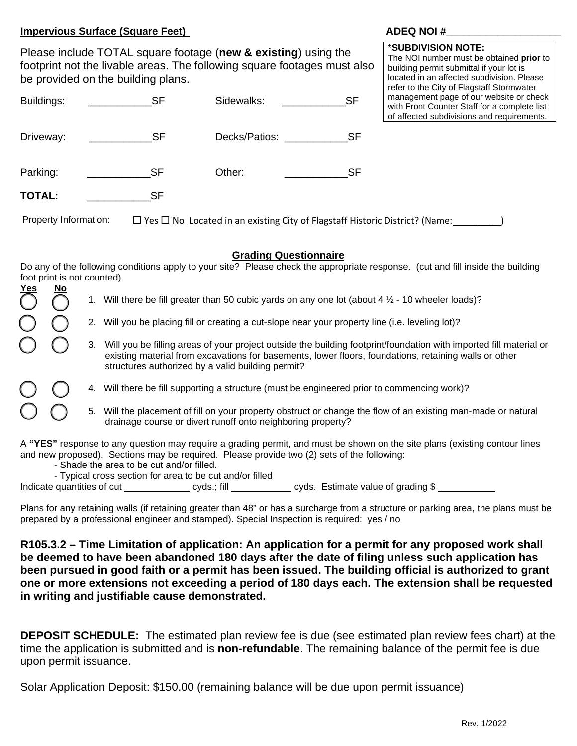## **Impervious Surface (Square Feet)** ADEQ NOI #

Please include TOTAL square footage (**new & existing**) using the footprint not the livable areas. The following square footages must also be provided on the building plans.

#### \***SUBDIVISION NOTE:**

The NOI number must be obtained **prior** to building permit submittal if your lot is located in an affected subdivision. Please refer to the City of Flagstaff Stormwater management page of our website or check with Front Counter Staff for a complete list

| Buildings:            | SF        | Sidewalks:                                                                              | <b>SF</b> | management page of our website or check<br>with Front Counter Staff for a complete list<br>of affected subdivisions and requirements. |
|-----------------------|-----------|-----------------------------------------------------------------------------------------|-----------|---------------------------------------------------------------------------------------------------------------------------------------|
| Driveway:             | <b>SF</b> | Decks/Patios:                                                                           | – SF      |                                                                                                                                       |
| Parking:              | SF        | Other:                                                                                  | SF        |                                                                                                                                       |
| <b>TOTAL:</b>         | SF        |                                                                                         |           |                                                                                                                                       |
| Property Information: |           | $\Box$ Yes $\Box$ No Located in an existing City of Flagstaff Historic District? (Name: |           |                                                                                                                                       |

## **Grading Questionnaire**

Do any of the following conditions apply to your site? Please check the appropriate response. (cut and fill inside the building foot print is not counted).

| <u>Yes</u> | <u>No</u> |    | 1. Will there be fill greater than 50 cubic yards on any one lot (about 4 $\frac{1}{2}$ - 10 wheeler loads)?                                                                                                                                                                     |
|------------|-----------|----|----------------------------------------------------------------------------------------------------------------------------------------------------------------------------------------------------------------------------------------------------------------------------------|
|            |           |    |                                                                                                                                                                                                                                                                                  |
|            |           |    | 2. Will you be placing fill or creating a cut-slope near your property line (i.e. leveling lot)?                                                                                                                                                                                 |
|            |           | 3. | Will you be filling areas of your project outside the building footprint/foundation with imported fill material or<br>existing material from excavations for basements, lower floors, foundations, retaining walls or other<br>structures authorized by a valid building permit? |
|            |           |    | 4. Will there be fill supporting a structure (must be engineered prior to commencing work)?                                                                                                                                                                                      |
|            |           | 5. | Will the placement of fill on your property obstruct or change the flow of an existing man-made or natural<br>drainage course or divert runoff onto neighboring property?                                                                                                        |
|            |           |    | A "YES" response to any question may require a grading permit, and must be shown on the site plans (existing contour lines<br>and new proposed). Sections may be required. Please provide two (2) sets of the following:<br>Absolutely and the book of the Plant                 |

- Shade the area to be cut and/or filled.

- Typical cross section for area to be cut and/or filled

Indicate quantities of cut cyds.; fill cyds. Estimate value of grading \$

Plans for any retaining walls (if retaining greater than 48" or has a surcharge from a structure or parking area, the plans must be prepared by a professional engineer and stamped). Special Inspection is required: yes / no

**R105.3.2 – Time Limitation of application: An application for a permit for any proposed work shall be deemed to have been abandoned 180 days after the date of filing unless such application has been pursued in good faith or a permit has been issued. The building official is authorized to grant one or more extensions not exceeding a period of 180 days each. The extension shall be requested in writing and justifiable cause demonstrated.** 

**DEPOSIT SCHEDULE:** The estimated plan review fee is due (see estimated plan review fees chart) at the time the application is submitted and is **non-refundable**. The remaining balance of the permit fee is due upon permit issuance.

Solar Application Deposit: \$150.00 (remaining balance will be due upon permit issuance)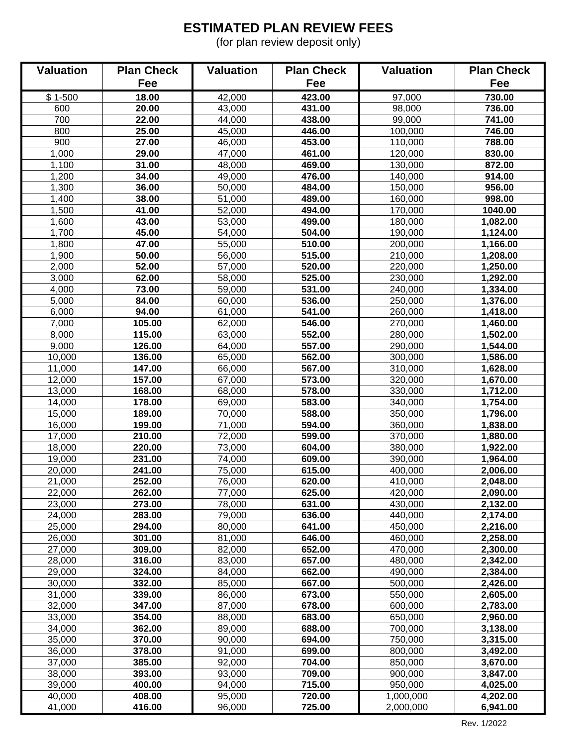# **ESTIMATED PLAN REVIEW FEES**

(for plan review deposit only)

| <b>Valuation</b> | <b>Plan Check</b> | <b>Valuation</b> | <b>Plan Check</b> | <b>Valuation</b>   | <b>Plan Check</b>    |
|------------------|-------------------|------------------|-------------------|--------------------|----------------------|
|                  | Fee               |                  | Fee               |                    | Fee                  |
| $$1-500$         | 18.00             | 42,000           | 423.00            | 97,000             | 730.00               |
| 600              | 20.00             | 43,000           | 431.00            | 98,000             | 736.00               |
| 700              | 22.00             | 44,000           | 438.00            | 99,000             | 741.00               |
| 800              | 25.00             | 45,000           | 446.00            | 100,000            | 746.00               |
| 900              | 27.00             | 46,000           | 453.00            | 110,000            | 788.00               |
| 1,000            | 29.00             | 47,000           | 461.00            | 120,000            | 830.00               |
| 1,100            | 31.00             | 48,000           | 469.00            | 130,000            | 872.00               |
| 1,200            | 34.00             | 49,000           | 476.00            | 140,000            | 914.00               |
| 1,300            | 36.00             | 50,000           | 484.00            | 150,000            | 956.00               |
| 1,400            | 38.00             | 51,000           | 489.00            | 160,000            | 998.00               |
| 1,500            | 41.00             | 52,000           | 494.00            | 170,000            | 1040.00              |
| 1,600            | 43.00             | 53,000           | 499.00            | 180,000            | 1,082.00             |
| 1,700            | 45.00             | 54,000           | 504.00            | 190,000            | 1,124.00             |
| 1,800            | 47.00             | 55,000           | 510.00            | 200,000            | 1,166.00             |
| 1,900            | 50.00             | 56,000           | 515.00            | 210,000            | 1,208.00             |
| 2,000            | 52.00             | 57,000           | 520.00            | 220,000            | 1,250.00             |
| 3,000            | 62.00             | 58,000           | 525.00            | 230,000            | 1,292.00             |
| 4,000            | 73.00             | 59,000           | 531.00            | 240,000            | 1,334.00             |
| 5,000            | 84.00             | 60,000           | 536.00            | 250,000            | 1,376.00             |
| 6,000            | 94.00             | 61,000           | 541.00            | 260,000            | 1,418.00             |
| 7,000            | 105.00            | 62,000           | 546.00            | 270,000            | 1,460.00             |
| 8,000            | 115.00            | 63,000           | 552.00            | 280,000            | 1,502.00             |
| 9,000            | 126.00            | 64,000           | 557.00            | 290,000            | 1,544.00             |
| 10,000           | 136.00            | 65,000           | 562.00            | 300,000            | 1,586.00             |
| 11,000           | 147.00            | 66,000           | 567.00            | 310,000            | 1,628.00             |
| 12,000<br>13,000 | 157.00<br>168.00  | 67,000<br>68,000 | 573.00<br>578.00  | 320,000<br>330,000 | 1,670.00<br>1,712.00 |
| 14,000           | 178.00            | 69,000           | 583.00            | 340,000            | 1,754.00             |
| 15,000           | 189.00            | 70,000           | 588.00            | 350,000            | 1,796.00             |
| 16,000           | 199.00            | 71,000           | 594.00            | 360,000            | 1,838.00             |
| 17,000           | 210.00            | 72,000           | 599.00            | 370,000            | 1,880.00             |
| 18,000           | 220.00            | 73,000           | 604.00            | 380,000            | 1,922.00             |
| 19,000           | 231.00            | 74,000           | 609.00            | 390,000            | 1,964.00             |
| 20,000           | 241.00            | 75,000           | 615.00            | 400,000            | 2,006.00             |
| 21,000           | 252.00            | 76,000           | 620.00            | 410,000            | 2,048.00             |
| 22,000           | 262.00            | 77,000           | 625.00            | 420,000            | 2,090.00             |
| 23,000           | 273.00            | 78,000           | 631.00            | 430,000            | 2,132.00             |
| 24,000           | 283.00            | 79,000           | 636.00            | 440,000            | 2,174.00             |
| 25,000           | 294.00            | 80,000           | 641.00            | 450,000            | 2,216.00             |
| 26,000           | 301.00            | 81,000           | 646.00            | 460,000            | 2,258.00             |
| 27,000           | 309.00            | 82,000           | 652.00            | 470,000            | 2,300.00             |
| 28,000           | 316.00            | 83,000           | 657.00            | 480,000            | 2,342.00             |
| 29,000           | 324.00            | 84,000           | 662.00            | 490,000            | 2,384.00             |
| 30,000           | 332.00            | 85,000           | 667.00            | 500,000            | 2,426.00             |
| 31,000           | 339.00            | 86,000           | 673.00            | 550,000            | 2,605.00             |
| 32,000           | 347.00            | 87,000           | 678.00            | 600,000            | 2,783.00             |
| 33,000           | 354.00            | 88,000           | 683.00            | 650,000            | 2,960.00             |
| 34,000           | 362.00            | 89,000           | 688.00            | 700,000            | 3,138.00             |
| 35,000           | 370.00            | 90,000           | 694.00            | 750,000            | 3,315.00             |
| 36,000           | 378.00            | 91,000           | 699.00            | 800,000            | 3,492.00             |
| 37,000           | 385.00            | 92,000           | 704.00            | 850,000            | 3,670.00             |
| 38,000           | 393.00            | 93,000           | 709.00            | 900,000            | 3,847.00             |
| 39,000           | 400.00            | 94,000           | 715.00            | 950,000            | 4,025.00             |
| 40,000           | 408.00            | 95,000           | 720.00            | 1,000,000          | 4,202.00             |
| 41,000           | 416.00            | 96,000           | 725.00            | 2,000,000          | 6,941.00             |